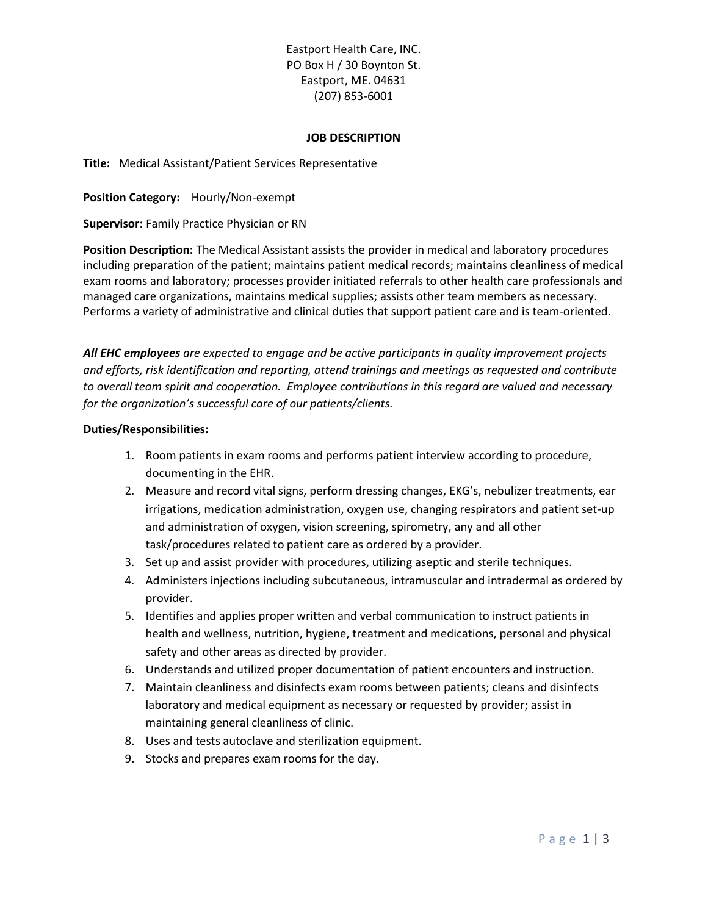Eastport Health Care, INC. PO Box H / 30 Boynton St. Eastport, ME. 04631 (207) 853-6001

## **JOB DESCRIPTION**

**Title:** Medical Assistant/Patient Services Representative

**Position Category:** Hourly/Non-exempt

**Supervisor:** Family Practice Physician or RN

**Position Description:** The Medical Assistant assists the provider in medical and laboratory procedures including preparation of the patient; maintains patient medical records; maintains cleanliness of medical exam rooms and laboratory; processes provider initiated referrals to other health care professionals and managed care organizations, maintains medical supplies; assists other team members as necessary. Performs a variety of administrative and clinical duties that support patient care and is team-oriented.

*All EHC employees are expected to engage and be active participants in quality improvement projects and efforts, risk identification and reporting, attend trainings and meetings as requested and contribute to overall team spirit and cooperation. Employee contributions in this regard are valued and necessary for the organization's successful care of our patients/clients.* 

## **Duties/Responsibilities:**

- 1. Room patients in exam rooms and performs patient interview according to procedure, documenting in the EHR.
- 2. Measure and record vital signs, perform dressing changes, EKG's, nebulizer treatments, ear irrigations, medication administration, oxygen use, changing respirators and patient set-up and administration of oxygen, vision screening, spirometry, any and all other task/procedures related to patient care as ordered by a provider.
- 3. Set up and assist provider with procedures, utilizing aseptic and sterile techniques.
- 4. Administers injections including subcutaneous, intramuscular and intradermal as ordered by provider.
- 5. Identifies and applies proper written and verbal communication to instruct patients in health and wellness, nutrition, hygiene, treatment and medications, personal and physical safety and other areas as directed by provider.
- 6. Understands and utilized proper documentation of patient encounters and instruction.
- 7. Maintain cleanliness and disinfects exam rooms between patients; cleans and disinfects laboratory and medical equipment as necessary or requested by provider; assist in maintaining general cleanliness of clinic.
- 8. Uses and tests autoclave and sterilization equipment.
- 9. Stocks and prepares exam rooms for the day.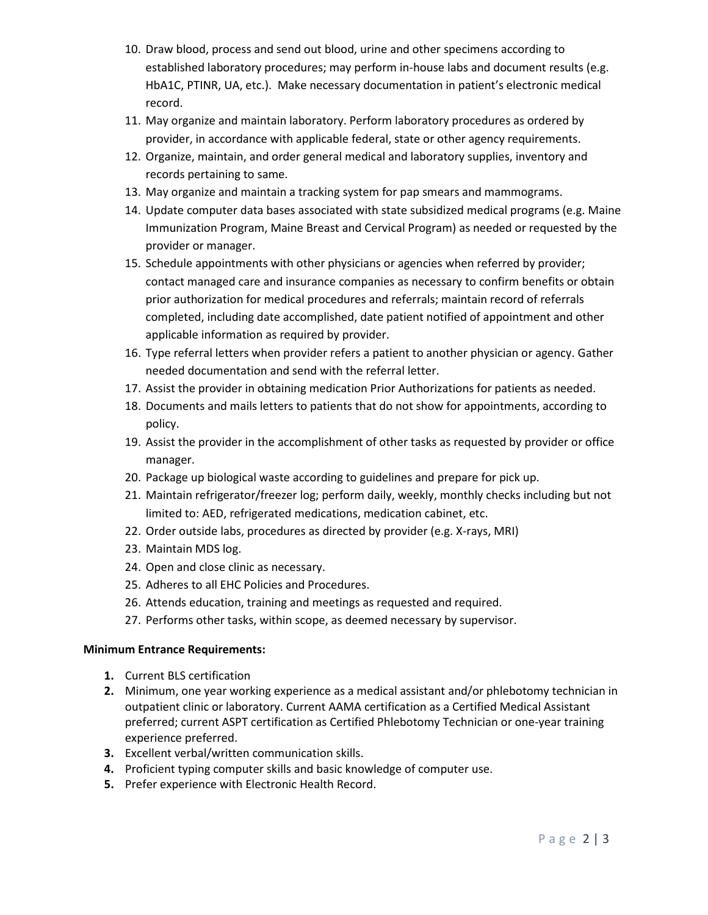- 10. Draw blood, process and send out blood, urine and other specimens according to established laboratory procedures; may perform in-house labs and document results (e.g. HbA1C, PTINR, UA, etc.). Make necessary documentation in patient's electronic medical record.
- 11. May organize and maintain laboratory. Perform laboratory procedures as ordered by provider, in accordance with applicable federal, state or other agency requirements.
- 12. Organize, maintain, and order general medical and laboratory supplies, inventory and records pertaining to same.
- 13. May organize and maintain a tracking system for pap smears and mammograms.
- 14. Update computer data bases associated with state subsidized medical programs (e.g. Maine Immunization Program, Maine Breast and Cervical Program) as needed or requested by the provider or manager.
- 15. Schedule appointments with other physicians or agencies when referred by provider; contact managed care and insurance companies as necessary to confirm benefits or obtain prior authorization for medical procedures and referrals; maintain record of referrals completed, including date accomplished, date patient notified of appointment and other applicable information as required by provider.
- 16. Type referral letters when provider refers a patient to another physician or agency. Gather needed documentation and send with the referral letter.
- 17. Assist the provider in obtaining medication Prior Authorizations for patients as needed.
- 18. Documents and mails letters to patients that do not show for appointments, according to policy.
- 19. Assist the provider in the accomplishment of other tasks as requested by provider or office manager.
- 20. Package up biological waste according to guidelines and prepare for pick up.
- 21. Maintain refrigerator/freezer log; perform daily, weekly, monthly checks including but not limited to: AED, refrigerated medications, medication cabinet, etc.
- 22. Order outside labs, procedures as directed by provider (e.g. X-rays, MRI)
- 23. Maintain MDS log.
- 24. Open and close clinic as necessary.
- 25. Adheres to all EHC Policies and Procedures.
- 26. Attends education, training and meetings as requested and required.
- 27. Performs other tasks, within scope, as deemed necessary by supervisor.

## **Minimum Entrance Requirements:**

- **1.** Current BLS certification
- **2.** Minimum, one year working experience as a medical assistant and/or phlebotomy technician in outpatient clinic or laboratory. Current AAMA certification as a Certified Medical Assistant preferred; current ASPT certification as Certified Phlebotomy Technician or one-year training experience preferred.
- **3.** Excellent verbal/written communication skills.
- **4.** Proficient typing computer skills and basic knowledge of computer use.
- **5.** Prefer experience with Electronic Health Record.